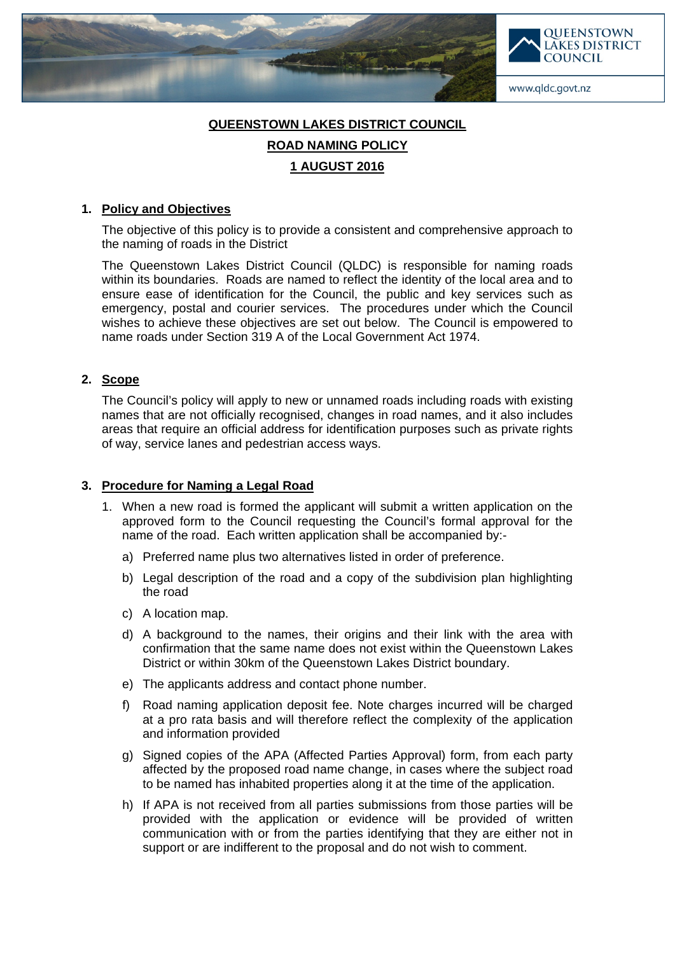



www.qldc.govt.nz

# **QUEENSTOWN LAKES DISTRICT COUNCIL ROAD NAMING POLICY 1 AUGUST 2016**

## **1. Policy and Objectives**

The objective of this policy is to provide a consistent and comprehensive approach to the naming of roads in the District

The Queenstown Lakes District Council (QLDC) is responsible for naming roads within its boundaries. Roads are named to reflect the identity of the local area and to ensure ease of identification for the Council, the public and key services such as emergency, postal and courier services. The procedures under which the Council wishes to achieve these objectives are set out below. The Council is empowered to name roads under Section 319 A of the Local Government Act 1974.

# **2. Scope**

The Council's policy will apply to new or unnamed roads including roads with existing names that are not officially recognised, changes in road names, and it also includes areas that require an official address for identification purposes such as private rights of way, service lanes and pedestrian access ways.

# **3. Procedure for Naming a Legal Road**

- 1. When a new road is formed the applicant will submit a written application on the approved form to the Council requesting the Council's formal approval for the name of the road. Each written application shall be accompanied by:
	- a) Preferred name plus two alternatives listed in order of preference.
	- b) Legal description of the road and a copy of the subdivision plan highlighting the road
	- c) A location map.
	- d) A background to the names, their origins and their link with the area with confirmation that the same name does not exist within the Queenstown Lakes District or within 30km of the Queenstown Lakes District boundary.
	- e) The applicants address and contact phone number.
	- f) Road naming application deposit fee. Note charges incurred will be charged at a pro rata basis and will therefore reflect the complexity of the application and information provided
	- g) Signed copies of the APA (Affected Parties Approval) form, from each party affected by the proposed road name change, in cases where the subject road to be named has inhabited properties along it at the time of the application.
	- h) If APA is not received from all parties submissions from those parties will be provided with the application or evidence will be provided of written communication with or from the parties identifying that they are either not in support or are indifferent to the proposal and do not wish to comment.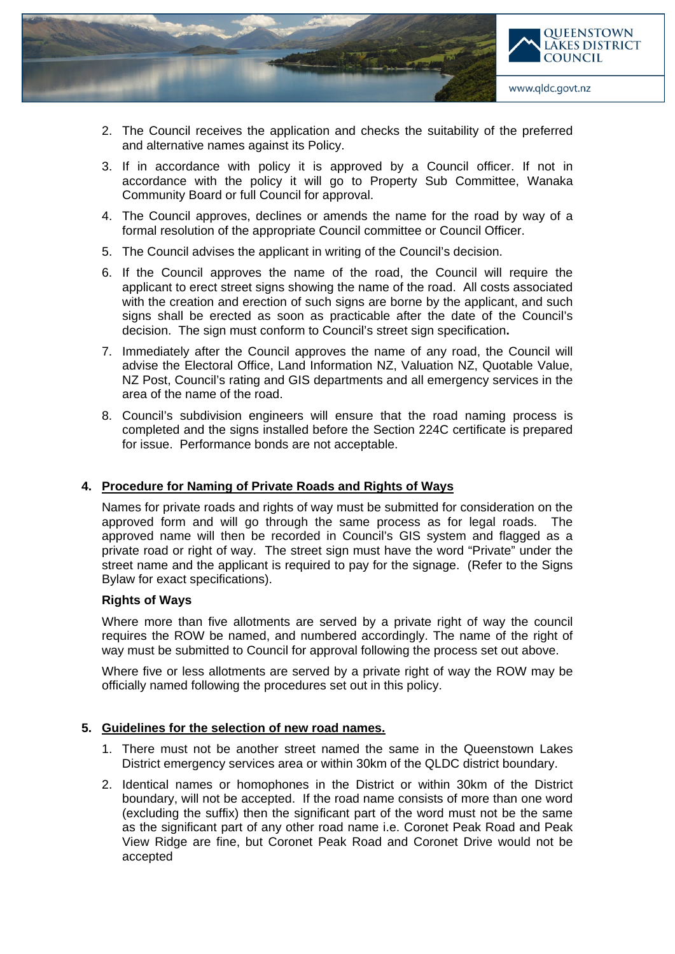

- 2. The Council receives the application and checks the suitability of the preferred and alternative names against its Policy.
- 3. If in accordance with policy it is approved by a Council officer. If not in accordance with the policy it will go to Property Sub Committee, Wanaka Community Board or full Council for approval.
- 4. The Council approves, declines or amends the name for the road by way of a formal resolution of the appropriate Council committee or Council Officer.
- 5. The Council advises the applicant in writing of the Council's decision.
- 6. If the Council approves the name of the road, the Council will require the applicant to erect street signs showing the name of the road. All costs associated with the creation and erection of such signs are borne by the applicant, and such signs shall be erected as soon as practicable after the date of the Council's decision. The sign must conform to Council's street sign specification**.**
- 7. Immediately after the Council approves the name of any road, the Council will advise the Electoral Office, Land Information NZ, Valuation NZ, Quotable Value, NZ Post, Council's rating and GIS departments and all emergency services in the area of the name of the road.
- 8. Council's subdivision engineers will ensure that the road naming process is completed and the signs installed before the Section 224C certificate is prepared for issue. Performance bonds are not acceptable.

# **4. Procedure for Naming of Private Roads and Rights of Ways**

Names for private roads and rights of way must be submitted for consideration on the approved form and will go through the same process as for legal roads. The approved name will then be recorded in Council's GIS system and flagged as a private road or right of way. The street sign must have the word "Private" under the street name and the applicant is required to pay for the signage. (Refer to the Signs Bylaw for exact specifications).

# **Rights of Ways**

Where more than five allotments are served by a private right of way the council requires the ROW be named, and numbered accordingly. The name of the right of way must be submitted to Council for approval following the process set out above.

Where five or less allotments are served by a private right of way the ROW may be officially named following the procedures set out in this policy.

#### **5. Guidelines for the selection of new road names.**

- 1. There must not be another street named the same in the Queenstown Lakes District emergency services area or within 30km of the QLDC district boundary.
- 2. Identical names or homophones in the District or within 30km of the District boundary, will not be accepted. If the road name consists of more than one word (excluding the suffix) then the significant part of the word must not be the same as the significant part of any other road name i.e. Coronet Peak Road and Peak View Ridge are fine, but Coronet Peak Road and Coronet Drive would not be accepted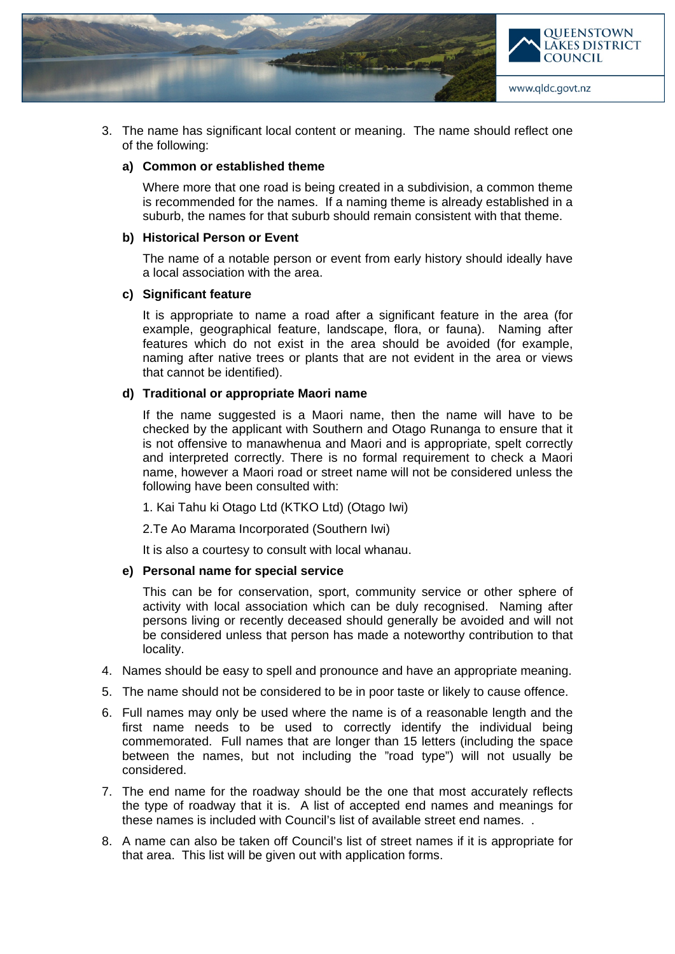

3. The name has significant local content or meaning. The name should reflect one of the following:

#### **a) Common or established theme**

Where more that one road is being created in a subdivision, a common theme is recommended for the names. If a naming theme is already established in a suburb, the names for that suburb should remain consistent with that theme.

#### **b) Historical Person or Event**

The name of a notable person or event from early history should ideally have a local association with the area.

#### **c) Significant feature**

It is appropriate to name a road after a significant feature in the area (for example, geographical feature, landscape, flora, or fauna). Naming after features which do not exist in the area should be avoided (for example, naming after native trees or plants that are not evident in the area or views that cannot be identified).

#### **d) Traditional or appropriate Maori name**

If the name suggested is a Maori name, then the name will have to be checked by the applicant with Southern and Otago Runanga to ensure that it is not offensive to manawhenua and Maori and is appropriate, spelt correctly and interpreted correctly. There is no formal requirement to check a Maori name, however a Maori road or street name will not be considered unless the following have been consulted with:

1. Kai Tahu ki Otago Ltd (KTKO Ltd) (Otago Iwi)

2.Te Ao Marama Incorporated (Southern Iwi)

It is also a courtesy to consult with local whanau.

#### **e) Personal name for special service**

This can be for conservation, sport, community service or other sphere of activity with local association which can be duly recognised. Naming after persons living or recently deceased should generally be avoided and will not be considered unless that person has made a noteworthy contribution to that locality.

- 4. Names should be easy to spell and pronounce and have an appropriate meaning.
- 5. The name should not be considered to be in poor taste or likely to cause offence.
- 6. Full names may only be used where the name is of a reasonable length and the first name needs to be used to correctly identify the individual being commemorated. Full names that are longer than 15 letters (including the space between the names, but not including the "road type") will not usually be considered.
- 7. The end name for the roadway should be the one that most accurately reflects the type of roadway that it is. A list of accepted end names and meanings for these names is included with Council's list of available street end names. .
- 8. A name can also be taken off Council's list of street names if it is appropriate for that area. This list will be given out with application forms.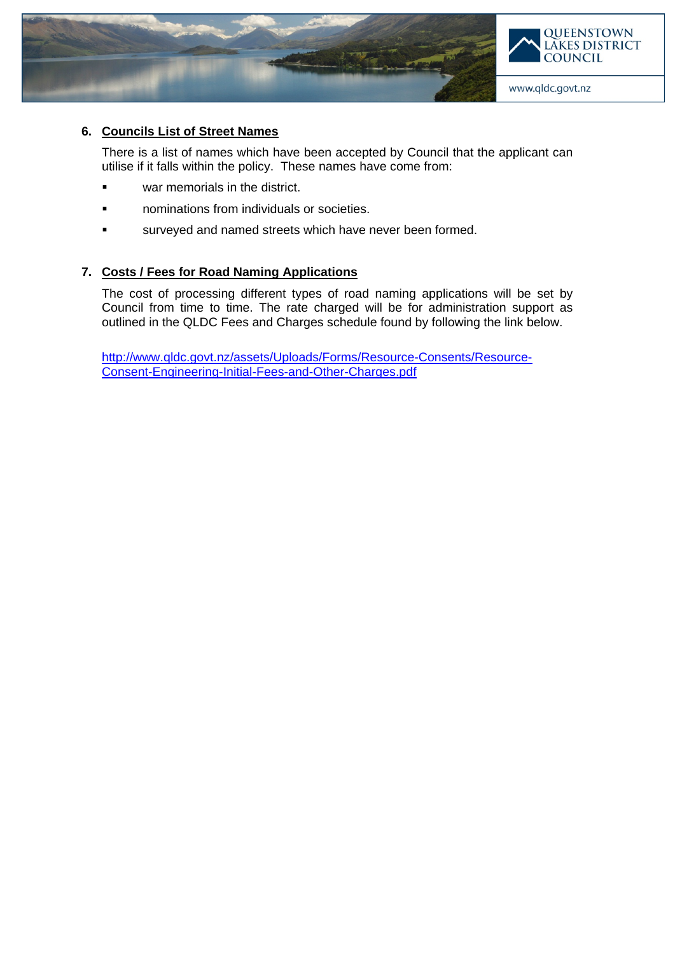



## **6. Councils List of Street Names**

There is a list of names which have been accepted by Council that the applicant can utilise if it falls within the policy. These names have come from:

- **E** war memorials in the district.
- **nominations from individuals or societies.**
- surveyed and named streets which have never been formed.

# **7. Costs / Fees for Road Naming Applications**

The cost of processing different types of road naming applications will be set by Council from time to time. The rate charged will be for administration support as outlined in the QLDC Fees and Charges schedule found by following the link below.

[http://www.qldc.govt.nz/assets/Uploads/Forms/Resource-Consents/Resource-](http://www.qldc.govt.nz/assets/Uploads/Forms/Resource-Consents/Resource-Consent-Engineering-Initial-Fees-and-Other-Charges.pdf)[Consent-Engineering-Initial-Fees-and-Other-Charges.pdf](http://www.qldc.govt.nz/assets/Uploads/Forms/Resource-Consents/Resource-Consent-Engineering-Initial-Fees-and-Other-Charges.pdf)